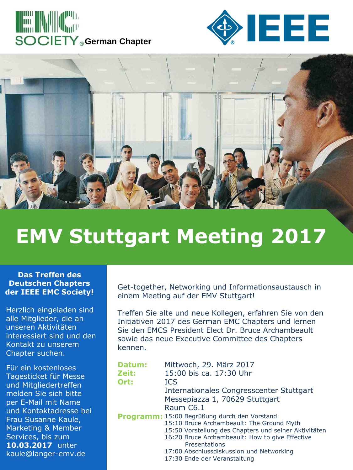





## **EMV Stuttgart Meeting 2017**

## **Das Treffen des Deutschen Chapters der IEEE EMC Society!**

Herzlich eingeladen sind alle Mitglieder, die an unseren Aktivitäten interessiert sind und den Kontakt zu unserem Chapter suchen.

Für ein kostenloses Tagesticket für Messe und Mitgliedertreffen melden Sie sich bitte per E-Mail mit Name und Kontaktadresse bei Frau Susanne Kaule, Marketing & Member Services, bis zum **10.03.2017** unter kaule@langer-emv.de

Get-together, Networking und Informationsaustausch in einem Meeting auf der EMV Stuttgart!

Treffen Sie alte und neue Kollegen, erfahren Sie von den Initiativen 2017 des German EMC Chapters und lernen Sie den EMCS President Elect Dr. Bruce Archambeault sowie das neue Executive Committee des Chapters kennen.

| Datum: | Mittwoch, 29. März 2017                               |
|--------|-------------------------------------------------------|
| Zeit:  | 15:00 bis ca. 17:30 Uhr                               |
| Ort:   | <b>ICS</b>                                            |
|        | Internationales Congresscenter Stuttgart              |
|        | Messepiazza 1, 70629 Stuttgart                        |
|        | Raum C6.1                                             |
|        | Programm: 15:00 Begrüßung durch den Vorstand          |
|        | 15:10 Bruce Archambeault: The Ground Myth             |
|        | 15:50 Vorstellung des Chapters und seiner Aktivitäten |
|        | 16:20 Bruce Archambeault: How to give Effective       |
|        | Presentations                                         |
|        | 17:00 Abschlussdiskussion und Networking              |
|        | 17:30 Ende der Veranstaltung                          |